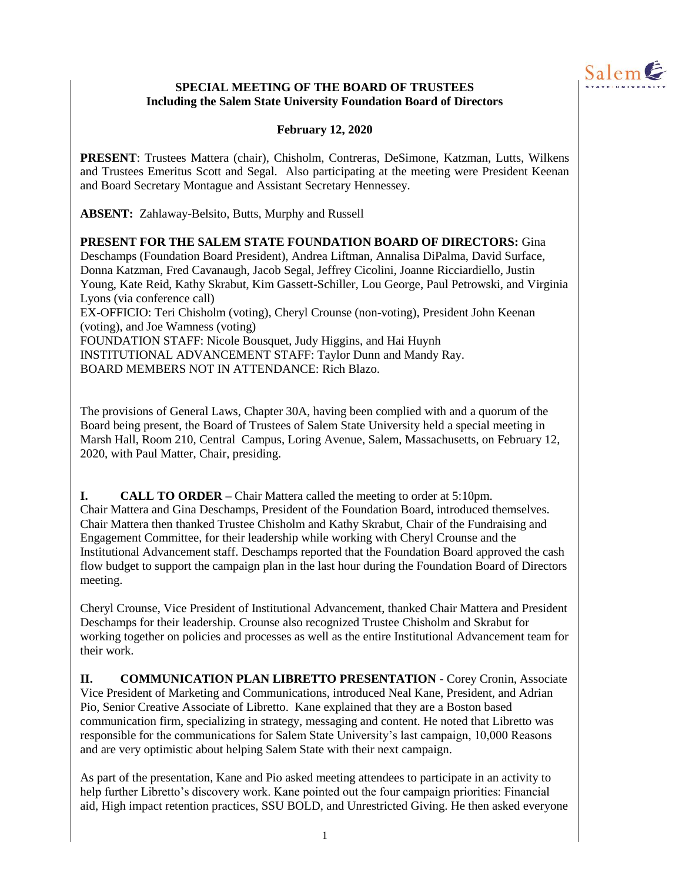

#### **SPECIAL MEETING OF THE BOARD OF TRUSTEES Including the Salem State University Foundation Board of Directors**

### **February 12, 2020**

**PRESENT**: Trustees Mattera (chair), Chisholm, Contreras, DeSimone, Katzman, Lutts, Wilkens and Trustees Emeritus Scott and Segal. Also participating at the meeting were President Keenan and Board Secretary Montague and Assistant Secretary Hennessey.

**ABSENT:** Zahlaway-Belsito, Butts, Murphy and Russell

**PRESENT FOR THE SALEM STATE FOUNDATION BOARD OF DIRECTORS:** Gina Deschamps (Foundation Board President), Andrea Liftman, Annalisa DiPalma, David Surface, Donna Katzman, Fred Cavanaugh, Jacob Segal, Jeffrey Cicolini, Joanne Ricciardiello, Justin Young, Kate Reid, Kathy Skrabut, Kim Gassett-Schiller, Lou George, Paul Petrowski, and Virginia Lyons (via conference call) EX-OFFICIO: Teri Chisholm (voting), Cheryl Crounse (non-voting), President John Keenan (voting), and Joe Wamness (voting) FOUNDATION STAFF: Nicole Bousquet, Judy Higgins, and Hai Huynh INSTITUTIONAL ADVANCEMENT STAFF: Taylor Dunn and Mandy Ray. BOARD MEMBERS NOT IN ATTENDANCE: Rich Blazo.

The provisions of General Laws, Chapter 30A, having been complied with and a quorum of the Board being present, the Board of Trustees of Salem State University held a special meeting in Marsh Hall, Room 210, Central Campus, Loring Avenue, Salem, Massachusetts, on February 12, 2020, with Paul Matter, Chair, presiding.

**I. CALL TO ORDER –** Chair Mattera called the meeting to order at 5:10pm. Chair Mattera and Gina Deschamps, President of the Foundation Board, introduced themselves. Chair Mattera then thanked Trustee Chisholm and Kathy Skrabut, Chair of the Fundraising and Engagement Committee, for their leadership while working with Cheryl Crounse and the Institutional Advancement staff. Deschamps reported that the Foundation Board approved the cash flow budget to support the campaign plan in the last hour during the Foundation Board of Directors meeting.

Cheryl Crounse, Vice President of Institutional Advancement, thanked Chair Mattera and President Deschamps for their leadership. Crounse also recognized Trustee Chisholm and Skrabut for working together on policies and processes as well as the entire Institutional Advancement team for their work.

**II. COMMUNICATION PLAN LIBRETTO PRESENTATION -** Corey Cronin, Associate Vice President of Marketing and Communications, introduced Neal Kane, President, and Adrian Pio, Senior Creative Associate of Libretto. Kane explained that they are a Boston based communication firm, specializing in strategy, messaging and content. He noted that Libretto was responsible for the communications for Salem State University's last campaign, 10,000 Reasons and are very optimistic about helping Salem State with their next campaign.

As part of the presentation, Kane and Pio asked meeting attendees to participate in an activity to help further Libretto's discovery work. Kane pointed out the four campaign priorities: Financial aid, High impact retention practices, SSU BOLD, and Unrestricted Giving. He then asked everyone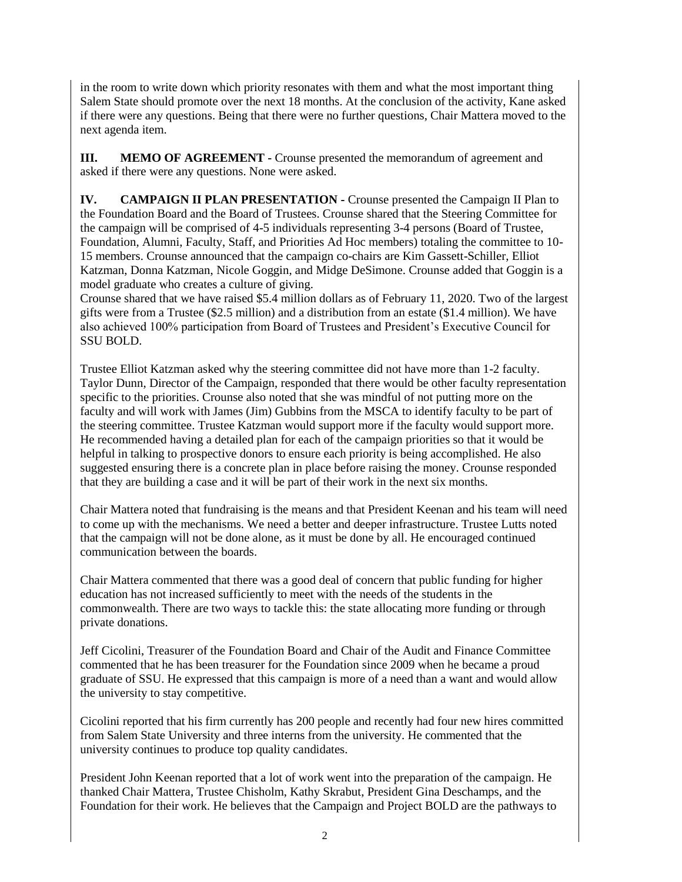in the room to write down which priority resonates with them and what the most important thing Salem State should promote over the next 18 months. At the conclusion of the activity, Kane asked if there were any questions. Being that there were no further questions, Chair Mattera moved to the next agenda item.

**III. MEMO OF AGREEMENT -** Crounse presented the memorandum of agreement and asked if there were any questions. None were asked.

**IV. CAMPAIGN II PLAN PRESENTATION -** Crounse presented the Campaign II Plan to the Foundation Board and the Board of Trustees. Crounse shared that the Steering Committee for the campaign will be comprised of 4-5 individuals representing 3-4 persons (Board of Trustee, Foundation, Alumni, Faculty, Staff, and Priorities Ad Hoc members) totaling the committee to 10- 15 members. Crounse announced that the campaign co-chairs are Kim Gassett-Schiller, Elliot Katzman, Donna Katzman, Nicole Goggin, and Midge DeSimone. Crounse added that Goggin is a model graduate who creates a culture of giving.

Crounse shared that we have raised \$5.4 million dollars as of February 11, 2020. Two of the largest gifts were from a Trustee (\$2.5 million) and a distribution from an estate (\$1.4 million). We have also achieved 100% participation from Board of Trustees and President's Executive Council for SSU BOLD.

Trustee Elliot Katzman asked why the steering committee did not have more than 1-2 faculty. Taylor Dunn, Director of the Campaign, responded that there would be other faculty representation specific to the priorities. Crounse also noted that she was mindful of not putting more on the faculty and will work with James (Jim) Gubbins from the MSCA to identify faculty to be part of the steering committee. Trustee Katzman would support more if the faculty would support more. He recommended having a detailed plan for each of the campaign priorities so that it would be helpful in talking to prospective donors to ensure each priority is being accomplished. He also suggested ensuring there is a concrete plan in place before raising the money. Crounse responded that they are building a case and it will be part of their work in the next six months.

Chair Mattera noted that fundraising is the means and that President Keenan and his team will need to come up with the mechanisms. We need a better and deeper infrastructure. Trustee Lutts noted that the campaign will not be done alone, as it must be done by all. He encouraged continued communication between the boards.

Chair Mattera commented that there was a good deal of concern that public funding for higher education has not increased sufficiently to meet with the needs of the students in the commonwealth. There are two ways to tackle this: the state allocating more funding or through private donations.

Jeff Cicolini, Treasurer of the Foundation Board and Chair of the Audit and Finance Committee commented that he has been treasurer for the Foundation since 2009 when he became a proud graduate of SSU. He expressed that this campaign is more of a need than a want and would allow the university to stay competitive.

Cicolini reported that his firm currently has 200 people and recently had four new hires committed from Salem State University and three interns from the university. He commented that the university continues to produce top quality candidates.

President John Keenan reported that a lot of work went into the preparation of the campaign. He thanked Chair Mattera, Trustee Chisholm, Kathy Skrabut, President Gina Deschamps, and the Foundation for their work. He believes that the Campaign and Project BOLD are the pathways to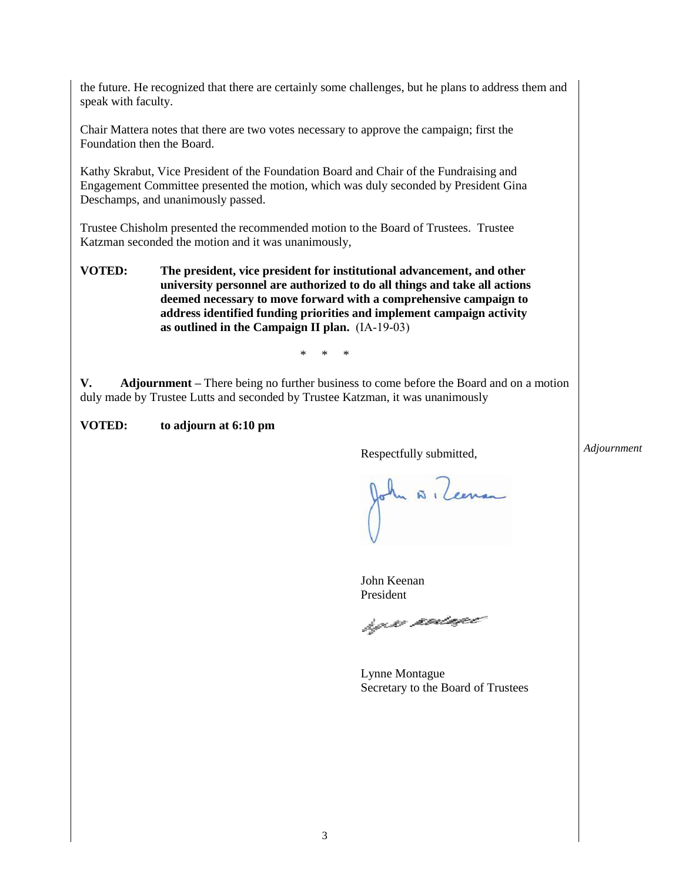the future. He recognized that there are certainly some challenges, but he plans to address them and speak with faculty.

Chair Mattera notes that there are two votes necessary to approve the campaign; first the Foundation then the Board.

Kathy Skrabut, Vice President of the Foundation Board and Chair of the Fundraising and Engagement Committee presented the motion, which was duly seconded by President Gina Deschamps, and unanimously passed.

Trustee Chisholm presented the recommended motion to the Board of Trustees. Trustee Katzman seconded the motion and it was unanimously,

**VOTED: The president, vice president for institutional advancement, and other university personnel are authorized to do all things and take all actions deemed necessary to move forward with a comprehensive campaign to address identified funding priorities and implement campaign activity as outlined in the Campaign II plan.** (IA-19-03)

\* \* \*

**V. Adjournment –** There being no further business to come before the Board and on a motion duly made by Trustee Lutts and seconded by Trustee Katzman, it was unanimously

**VOTED: to adjourn at 6:10 pm**

Respectfully submitted,

A (Cerran

John Keenan President

hy so podage

Lynne Montague Secretary to the Board of Trustees

*Adjournment*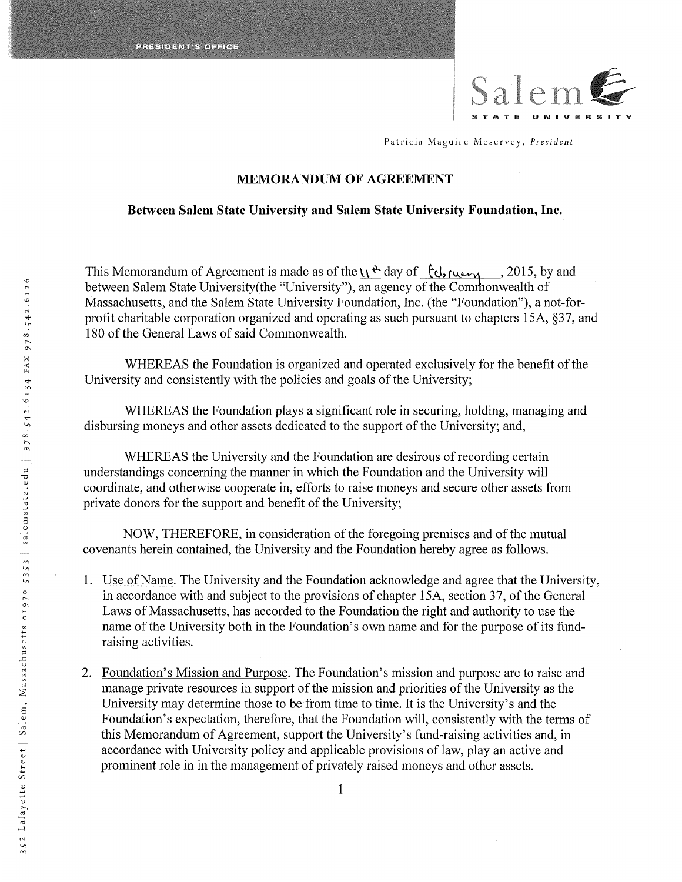

Patricia Maguire Meservey, President

#### MEMORANDUM OF AGREEMENT

#### Between Salem State University and Salem State University Foundation, Inc.

This Memorandum of Agreement is made as of the  $\mu \triangle$  day of  $\ell \epsilon$ ,  $\mu_{\text{uav}}$ , 2015, by and between Salem State University(the "University"), an agency of the Commonwealth of Massachusetts, and the Salem State University Foundation, Inc. (the "Foundation"), anot-forprofit charitable corporation organized and operating as such pursuant to chapters 15A,  $\S 37$ , and 180 of the General Laws of said Commonwealth.

WHEREAS the Foundation is organized and operated exclusively for the benefit of the University and consistently with the policies and goals of the University;

WHEREAS the Foundation plays a significant role in securing, holding, managing and disbursing moneys and other assets dedicated to the support of the University; and,

WHEREAS the University and the Foundation are desirous of recording certain understandings concerning the manner in which the Foundation and the University will coordinate, and otherwise cooperate in, efforts to raise moneys and secure other assets from private donors for the support and benefit of the University;

NOW, THEREFORE, in consideration of the foregoing premises and of the mutual covenants herein contained, the University and the Foundation hereby agree as follows.

- Use of Name. The University and the Foundation acknowledge and agree that the University, in accordance with and subject to the provisions of chapter 15A, section 37, of the General Laws of Massachusetts, has accorded to the Foundation the right and authority to use the name of the University both in the Foundation's own name and for the purpose of its fundraising activities.
- 2. Foundation's Mission and Purpose. The Foundation's mission and purpose are to raise and manage private resources in support of the mission and priorities of the University as the University may determine those to be from time to time. It is the University's and the Foundation's expectation, therefore, that the Foundation will, consistently with the terms of this Memorandum of Agreement, support the University's fund-raising activities and, in accordance with University policy and applicable provisions of law, play an active and prominent role in in the management of privately raised moneys and other assets.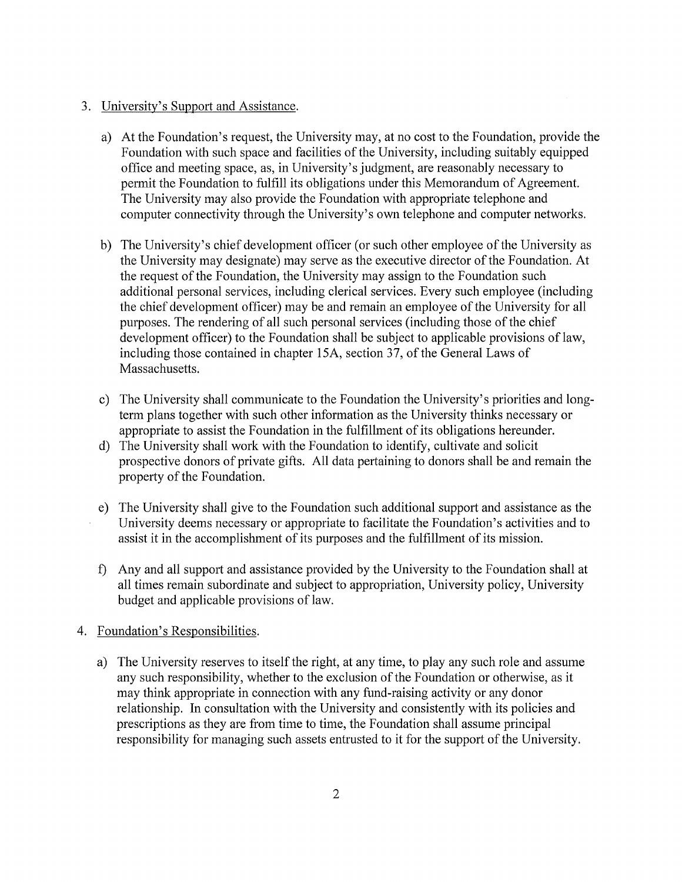### 3. University's Support and Assistance.

- a) At the Foundation's request, the University may, at no cost to the Foundation, provide the Foundation with such space and facilities of the University, including suitably equipped office and meeting space, as, in University's judgment, are reasonably necessary to permit the Foundation to fulfill its obligations under this Memorandum of Agreement. The University may also provide the Foundation with appropriate telephone and computer connectivity through the University's own telephone and computer networks.
- b) The University's chief development officer (or such other employee of the University as the University may designate) may serve as the executive director of the Foundation. At the request of the Foundation, the University may assign to the Foundation such additional personal services, including clerical services. Every such employee (including the chief development officer) may be and remain an employee of the University for all purposes. The rendering of all such personal services (including those of the chief development officer) to the Foundation shall be subject to applicable provisions of law, including those contained in chapter 15A, section 37, of the General Laws of Massachusetts.
- c) The University shall communicate to the Foundation the University's priorities and longterm plans together with such other information as the University thinks necessary or appropriate to assist the Foundation in the fulfillment of its obligations hereunder.
- d) The University shall work with the Foundation to identify, cultivate and solicit prospective donors of private gifts. All data pertaining to donors shall be and remain the property of the Foundation.
- e) The University shall give to the Foundation such additional support and assistance as the University deems necessary or appropriate to facilitate the Foundation's activities and to assist it in the accomplishment of its purposes and the fulfillment of its mission.
- ~ Any and all support and assistance provided by the University to the Foundation shall at all times remain subordinate and subject to appropriation, University policy, University budget and applicable provisions of law.

### 4. Foundation's Responsibilities.

a) The University reserves to itself the right, at any time, to play any such role and assume any such responsibility, whether to the exclusion of the Foundation or otherwise, as it may think appropriate in connection with any fund-raising activity or any donor relationship. In consultation with the University and consistently with its policies and prescriptions as they are from time to time, the Foundation shall assume principal responsibility for managing such assets entrusted to it for the support of the University.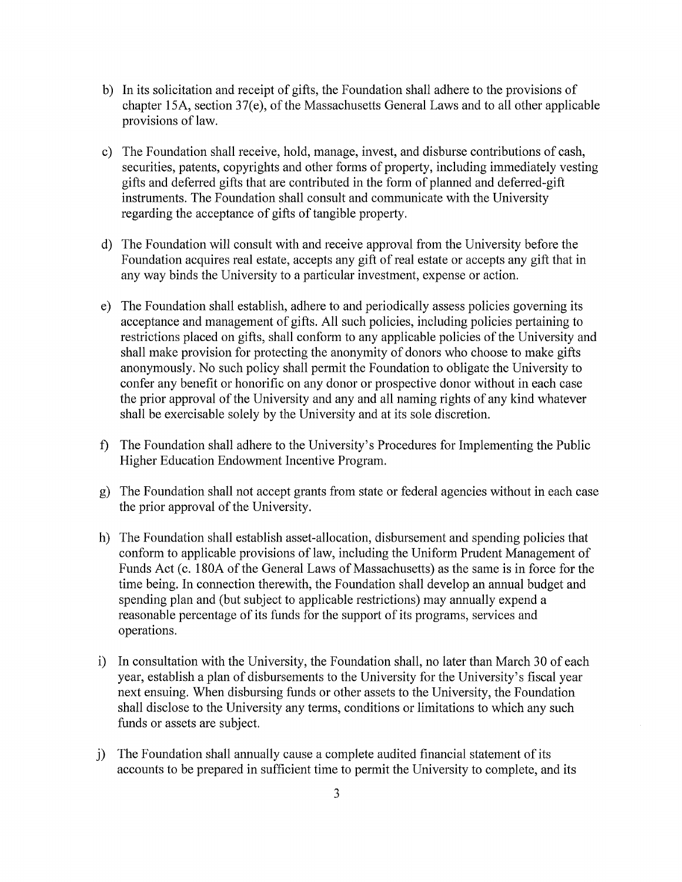- b) In its solicitation and receipt of gifts, the Foundation shall adhere to the provisions of chapter 15A, section 37(e), of the Massachusetts General Laws and to all other applicable provisions of law.
- c) The Foundation shall receive, hold, manage, invest, and disburse contributions of cash, securities, patents, copyrights and other forms of property, including immediately vesting gifts and deferred gifts that are contributed in the form of planned and deferred-gift instruments. The Foundation shall consult and communicate with the University regarding the acceptance of gifts of tangible property.
- d) The Foundation will consult with and receive approval from the University before the Foundation acquires real estate, accepts any gift of real estate or accepts any gift that in any way binds the University to a particular investment, expense or action.
- e) The Foundation shall establish, adhere to and periodically assess policies governing its acceptance and management of gifts. All such policies, including policies pertaining to restrictions placed on gifts, shall conform to any applicable policies of the University and shall make provision for protecting the anonymity of donors who choose to make gifts anonymously. No such policy shall permit the Foundation to obligate the University to confer any benefit or honorific on any donor or prospective donor without in each case the prior approval of the University and any and all naming rights of any kind whatever shall be exercisable solely by the University and at its sole discretion.
- ~ The Foundation shall adhere to the University's Procedures for Implementing the Public Higher Education Endowment Incentive Program.
- g) The Foundation shall not accept grants from state or federal agencies without in each case the prior approval of the University.
- h) The Foundation shall establish asset-allocation, disbursement and spending policies that conform to applicable provisions of law, including the Uniform Prudent Management of Funds Act (c. 180A of the General Laws of Massachusetts) as the same is in force for the time being. In connection therewith, the Foundation shall develop an annual budget and spending plan and (but subject to applicable restrictions) may annually expend a treasonable percentage of its funds for the support of its programs, services and operations.
- i) In consultation with the University, the Foundation shall, no later than March 30 of each year, establish a plan of disbursements to the University for the University's fiscal year next ensuing. When disbursing funds or other assets to the University, the Foundation shall disclose to the University any terms, conditions or limitations to which any such funds or assets are subject.
- j) The Foundation shall annually cause a complete audited financial statement of its accounts to be prepared in sufficient time to permit the University to complete, and its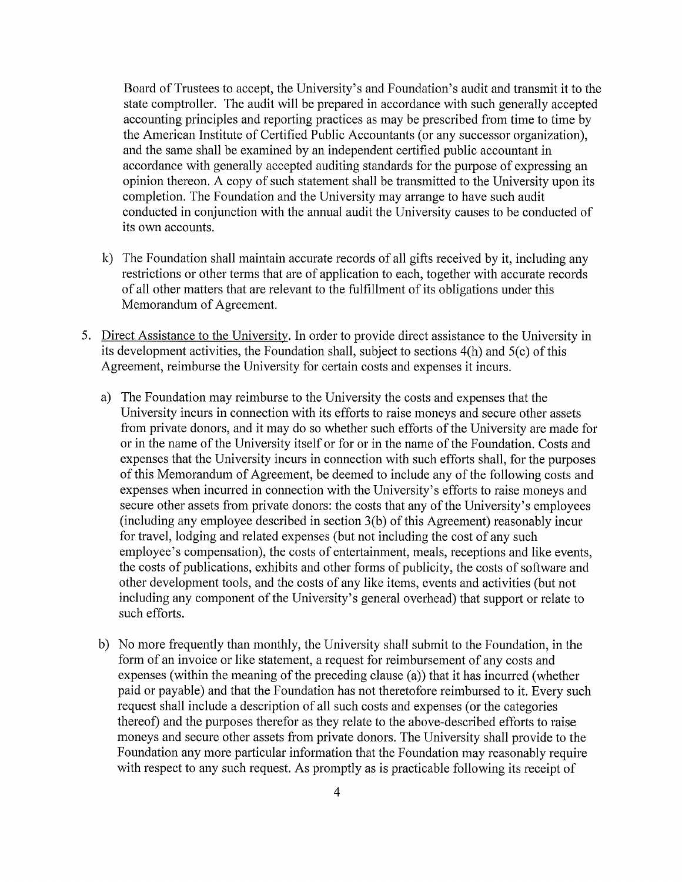Board of Trustees to accept, the University's and Foundation's audit and transmit it to the state comptroller. The audit will be prepared in accordance with such generally accepted accounting principles and reporting practices as may be prescribed from time to time by the American Institute of Certified Public Accountants (or any successor organization), and the same shall be examined by an independent certified public accountant in accordance with generally accepted auditing standards for the purpose of expressing an opinion thereon. A copy of such statement shall be transmitted to the University upon its completion. The Foundation and the University may arrange to have such audit conducted in conjunction with the annual audit the University causes to be conducted of its own accounts.

- k) The Foundation shall maintain accurate records of all gifts received by it, including any restrictions or other terms that are of application to each, together with accurate records of all other matters that are relevant to the fulfillment of its obligations under this Memorandum of Agreement.
- 5. Direct Assistance to the University. In order to provide direct assistance to the University in its development activities, the Foundation shall, subject to sections 4(h) and 5(c) of this Agreement, reimburse the University for certain costs and expenses it incurs.
	- a) The Foundation may reimburse to the University the costs and expenses that the University incurs in connection with its efforts to raise moneys and secure other assets from private donors, and it may do so whether such efforts of the University are made for or in the name of the University itself or for or in the name of the Foundation. Costs and expenses that the University incurs in connection with such efforts shall, for the purposes of this Memorandum of Agreement, be deemed to include any of the following costs and expenses when incurred in connection with the University's efforts to raise moneys and secure other assets from private donors: the costs that any of the University's employees (including any employee described in section 3(b) of this Agreement) reasonably incur for travel, lodging and related expenses (but not including the cost of any such employee's compensation), the costs of entertainment, meals, receptions and like events, the costs of publications, exhibits and other forms of publicity, the costs of software and other development tools, and the costs of any like items, events and activities (but not including any component of the University's general overhead) that support or relate to such efforts.
	- b) No more frequently than monthly, the University shall submit to the Foundation, in the form of an invoice or like statement, a request for reimbursement of any costs and expenses (within the meaning of the preceding clause (a)) that it has incurred (whether paid or payable) and that the Foundation has not theretofore reimbursed to it. Every such request shall include a description of all such costs and expenses (or the categories thereof) and the purposes therefor as they relate to the above-described efforts to raise moneys and secure other assets from private donors. The University shall provide to the Foundation any more particular information that the Foundation may reasonably require with respect to any such request. As promptly as is practicable following its receipt of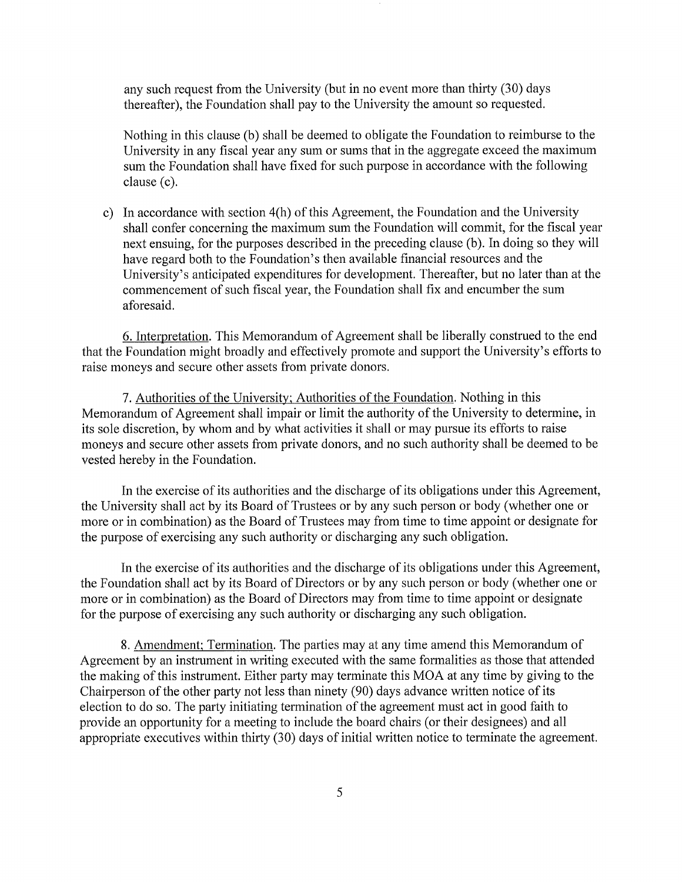any such request from the University (but in no event more than thirty (30) days thereafter), the Foundation shall pay to the University the amount so requested.

Nothing in this clause (b) shall be deemed to obligate the Foundation to reimburse to the University in any fiscal year any sum or sums that in the aggregate exceed the maximum sum the Foundation shall have fixed for such purpose in accordance with the following clause (c).

c) In accordance with section 4(h) of this Agreement, the Foundation and the University shall confer concerning the maximum sum the Foundation will commit, for the fiscal year next ensuing, for the purposes described in the preceding clause (b). In doing so they will have regard both to the Foundation's then available financial resources and the University's anticipated expenditures for development. Thereafter, but no later than at the commencement of such fiscal year, the Foundation shall fix and encumber the sum aforesaid.

6. Interpretation. This Memorandum of Agreement shall be liberally construed to the end that the Foundation might broadly and effectively promote and support the University's efforts to raise moneys and secure other assets from private donors.

7. Authorities of the University; Authorities of the Foundation. Nothing in this Memorandum of Agreement shall impair or limit the authority of the University to determine, in its sole discretion, by whom and by what activities it shall or may pursue its efforts to raise moneys and secure other assets from private donors, and no such authority shall be deemed to be vested hereby in the Foundation.

In the exercise of its authorities and the discharge of its obligations under this Agreement, the University shall act by its Board of Trustees or by any such person or body (whether one or more or in combination) as the Board of Trustees may from time to time appoint or designate for the purpose of exercising any such authority or discharging any such obligation.

In the exercise of its authorities and the discharge of its obligations under this Agreement, the Foundation shall act by its Board of Directors or by any such person or body (whether one or more or in combination) as the Board of Directors may from time to time appoint or designate for the purpose of exercising any such authority or discharging any such obligation.

8. Amendment; Termination. The patties may at any time amend this Memorandum of Agreement by an instrument in writing executed with the same formalities as those that attended the making of this instrument. Either party may terminate this MOA at any time by giving to the Chairperson of the other party not less than ninety (90) days advance written notice of its election to do so. The party initiating termination of the agreement must act in good faith to provide an opportunity for a meeting to include the board chairs (or their designees) and all appropriate executives within thirty (30) days of initial written notice to terminate the agreement.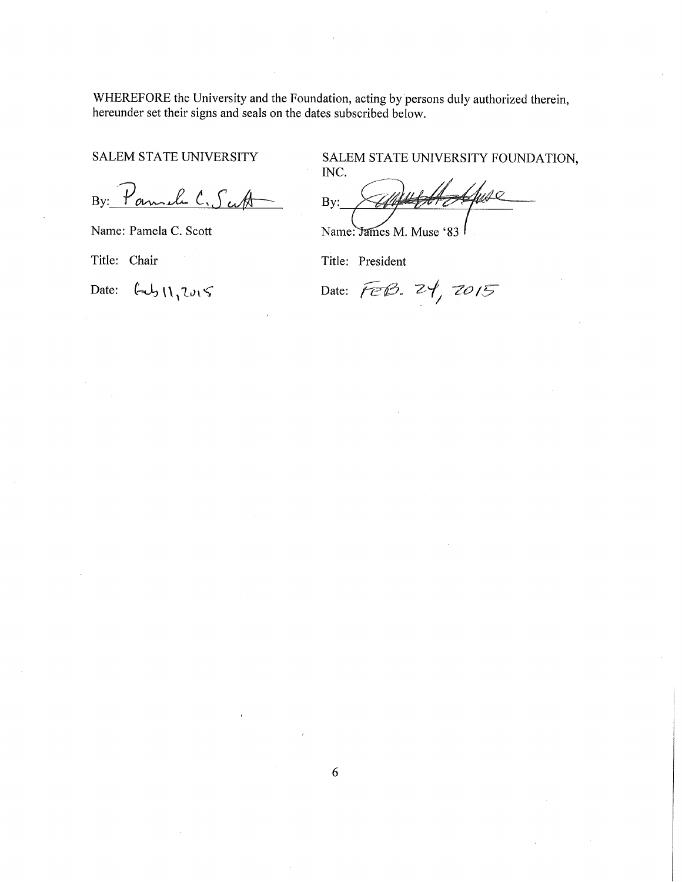WHEREFORE the University and the Foundation, acting by persons duly authorized therein, hereunder set their signs and seals on the dates subscribed below.

SALEM STATE UNIVERSITY

 $By: Formal C,  $S \in \mathbb{A}$$ 

Name: Pamela C. Scott

Title: Chair

Date:  $\left( -\right) \bigcup \{1, 2\nu_1 \}$ 

SALEM STATE UNIVERSITY FOUNDATION, INC.

!fuse By:

Name: James M. Muse '83

Title: President

Date:  $\widehat{feB}$ .  $24, 7015$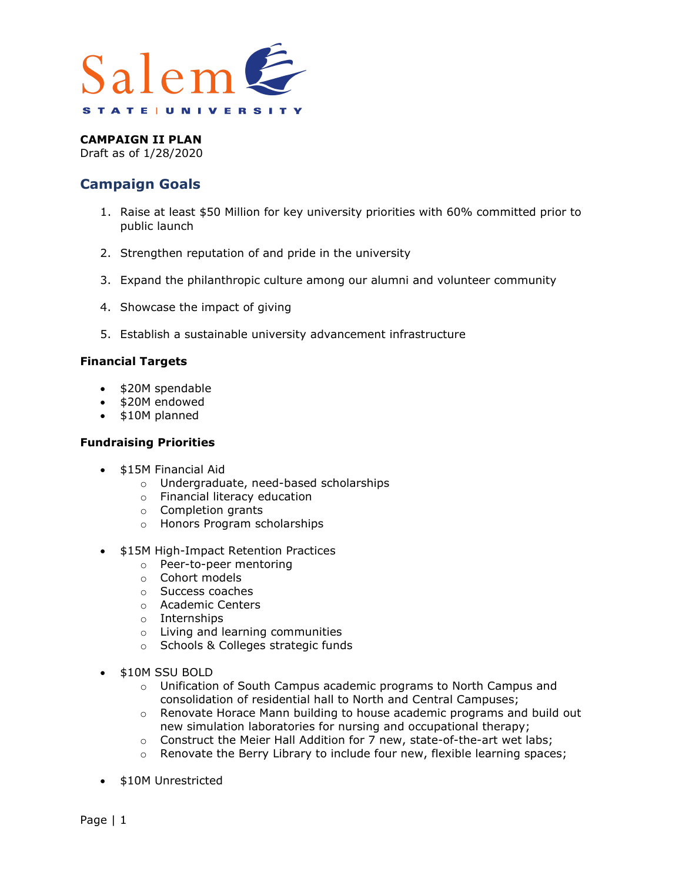

Draft as of 1/28/2020

## **Campaign Goals**

- 1. Raise at least \$50 Million for key university priorities with 60% committed prior to public launch
- 2. Strengthen reputation of and pride in the university
- 3. Expand the philanthropic culture among our alumni and volunteer community
- 4. Showcase the impact of giving
- 5. Establish a sustainable university advancement infrastructure

#### **Financial Targets**

- \$20M spendable
- \$20M endowed
- \$10M planned

#### **Fundraising Priorities**

- \$15M Financial Aid
	- o Undergraduate, need-based scholarships
	- o Financial literacy education
	- o Completion grants
	- o Honors Program scholarships
- \$15M High-Impact Retention Practices
	- o Peer-to-peer mentoring
	- o Cohort models
	- o Success coaches
	- o Academic Centers
	- o Internships
	- o Living and learning communities
	- o Schools & Colleges strategic funds
- \$10M SSU BOLD
	- o Unification of South Campus academic programs to North Campus and consolidation of residential hall to North and Central Campuses;
	- $\circ$  Renovate Horace Mann building to house academic programs and build out new simulation laboratories for nursing and occupational therapy;
	- o Construct the Meier Hall Addition for 7 new, state-of-the-art wet labs;
	- o Renovate the Berry Library to include four new, flexible learning spaces;
- \$10M Unrestricted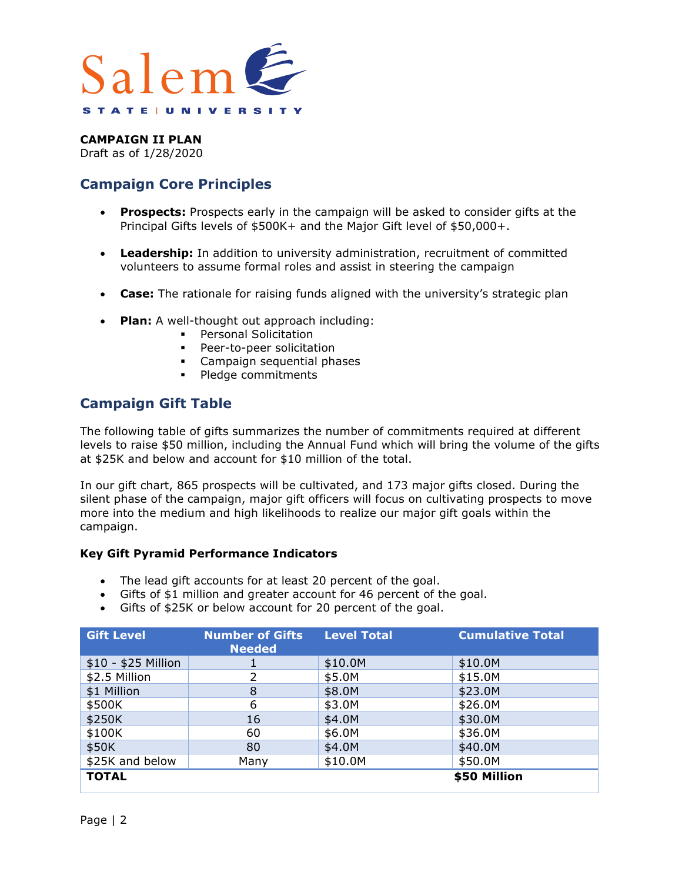

Draft as of 1/28/2020

# **Campaign Core Principles**

- **Prospects:** Prospects early in the campaign will be asked to consider gifts at the Principal Gifts levels of \$500K+ and the Major Gift level of \$50,000+.
- **Leadership:** In addition to university administration, recruitment of committed volunteers to assume formal roles and assist in steering the campaign
- **Case:** The rationale for raising funds aligned with the university's strategic plan
- **Plan:** A well-thought out approach including:
	- **•** Personal Solicitation
	- **Peer-to-peer solicitation**
	- **Campaign sequential phases**
	- Pledge commitments

## **Campaign Gift Table**

The following table of gifts summarizes the number of commitments required at different levels to raise \$50 million, including the Annual Fund which will bring the volume of the gifts at \$25K and below and account for \$10 million of the total.

In our gift chart, 865 prospects will be cultivated, and 173 major gifts closed. During the silent phase of the campaign, major gift officers will focus on cultivating prospects to move more into the medium and high likelihoods to realize our major gift goals within the campaign.

#### **Key Gift Pyramid Performance Indicators**

- The lead gift accounts for at least 20 percent of the goal.
- Gifts of \$1 million and greater account for 46 percent of the goal.
- Gifts of \$25K or below account for 20 percent of the goal.

| <b>Gift Level</b>   | <b>Number of Gifts</b><br><b>Needed</b> | <b>Level Total</b> | <b>Cumulative Total</b> |
|---------------------|-----------------------------------------|--------------------|-------------------------|
| \$10 - \$25 Million |                                         | \$10.0M            | \$10.0M                 |
| \$2.5 Million       |                                         | \$5.0M             | \$15.0M                 |
| \$1 Million         | 8                                       | \$8.0M             | \$23.0M                 |
| \$500K              | 6                                       | \$3.0M             | \$26.0M                 |
| \$250K              | 16                                      | \$4.0M             | \$30.0M                 |
| \$100K              | 60                                      | \$6.0M             | \$36.0M                 |
| \$50K               | 80                                      | \$4.0M             | \$40.0M                 |
| \$25K and below     | Many                                    | \$10.0M            | \$50.0M                 |
| <b>TOTAL</b>        |                                         |                    | \$50 Million            |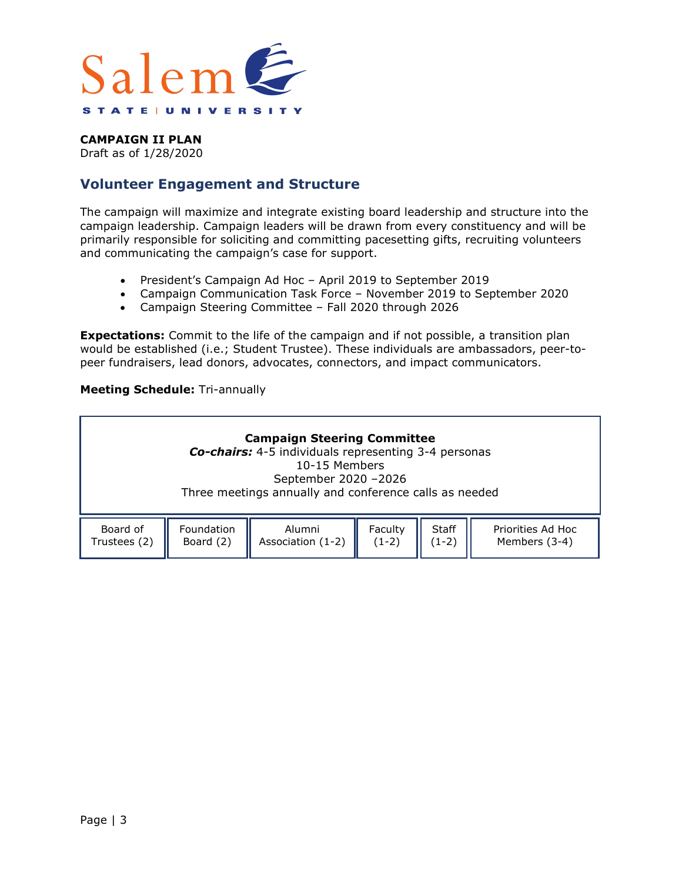

Draft as of 1/28/2020

## **Volunteer Engagement and Structure**

The campaign will maximize and integrate existing board leadership and structure into the campaign leadership. Campaign leaders will be drawn from every constituency and will be primarily responsible for soliciting and committing pacesetting gifts, recruiting volunteers and communicating the campaign's case for support.

- President's Campaign Ad Hoc April 2019 to September 2019
- Campaign Communication Task Force November 2019 to September 2020
- Campaign Steering Committee Fall 2020 through 2026

**Expectations:** Commit to the life of the campaign and if not possible, a transition plan would be established (i.e.; Student Trustee). These individuals are ambassadors, peer-topeer fundraisers, lead donors, advocates, connectors, and impact communicators.

#### **Meeting Schedule:** Tri-annually

|              |            | <b>Campaign Steering Committee</b><br><b>Co-chairs:</b> 4-5 individuals representing 3-4 personas<br>10-15 Members<br>September 2020 - 2026<br>Three meetings annually and conference calls as needed |         |              |                   |
|--------------|------------|-------------------------------------------------------------------------------------------------------------------------------------------------------------------------------------------------------|---------|--------------|-------------------|
| Board of     | Foundation | Alumni                                                                                                                                                                                                | Faculty | <b>Staff</b> | Priorities Ad Hoc |
| Trustees (2) | Board (2)  | Association (1-2)                                                                                                                                                                                     | $(1-2)$ | $(1-2)$      | Members (3-4)     |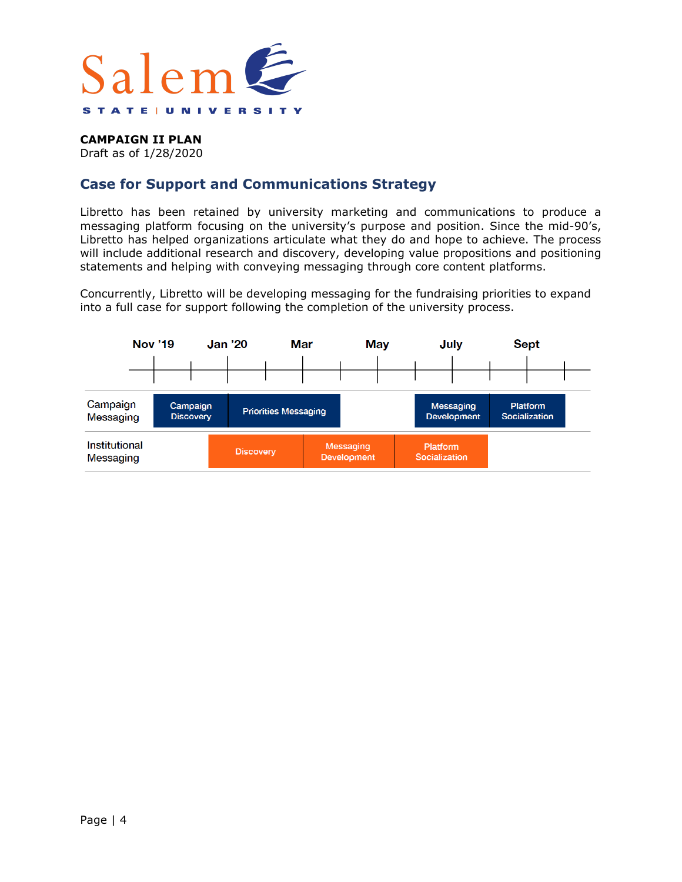

Draft as of 1/28/2020

## **Case for Support and Communications Strategy**

Libretto has been retained by university marketing and communications to produce a messaging platform focusing on the university's purpose and position. Since the mid-90's, Libretto has helped organizations articulate what they do and hope to achieve. The process will include additional research and discovery, developing value propositions and positioning statements and helping with conveying messaging through core content platforms.

Concurrently, Libretto will be developing messaging for the fundraising priorities to expand into a full case for support following the completion of the university process.

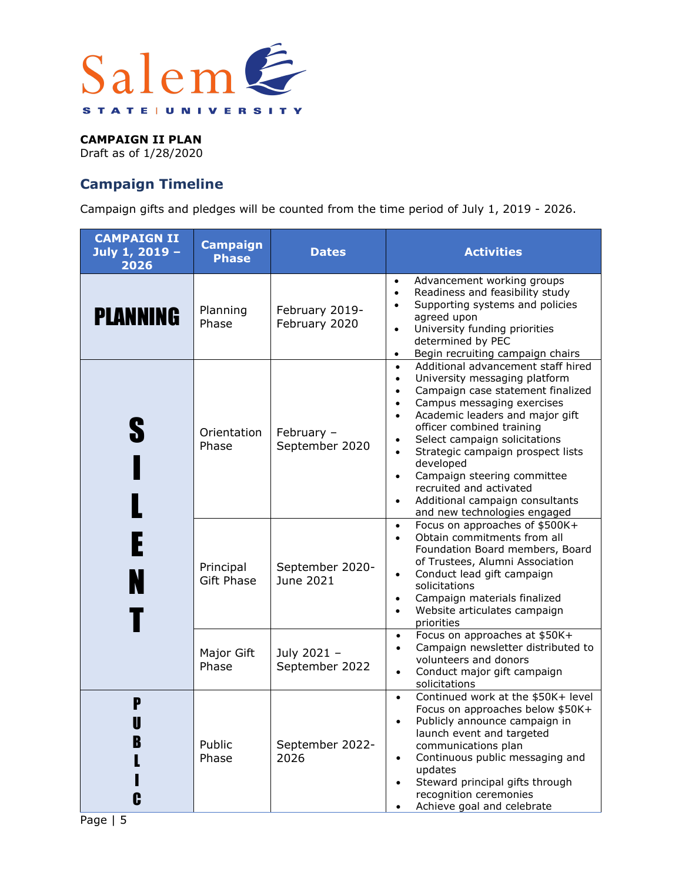

Draft as of 1/28/2020

# **Campaign Timeline**

Campaign gifts and pledges will be counted from the time period of July 1, 2019 - 2026.

| <b>CAMPAIGN II</b><br>July 1, 2019 -<br>2026 | <b>Campaign</b><br><b>Phase</b> | <b>Dates</b>                    | <b>Activities</b>                                                                                                                                                                                                                                                                                                                                                                                                                                                                                                                           |
|----------------------------------------------|---------------------------------|---------------------------------|---------------------------------------------------------------------------------------------------------------------------------------------------------------------------------------------------------------------------------------------------------------------------------------------------------------------------------------------------------------------------------------------------------------------------------------------------------------------------------------------------------------------------------------------|
| <b>PLANNING</b>                              | Planning<br>Phase               | February 2019-<br>February 2020 | Advancement working groups<br>٠<br>Readiness and feasibility study<br>$\bullet$<br>Supporting systems and policies<br>$\bullet$<br>agreed upon<br>University funding priorities<br>$\bullet$<br>determined by PEC<br>Begin recruiting campaign chairs<br>$\bullet$                                                                                                                                                                                                                                                                          |
| S<br>$\lambda$                               | Orientation<br>Phase            | February -<br>September 2020    | Additional advancement staff hired<br>$\bullet$<br>University messaging platform<br>$\bullet$<br>Campaign case statement finalized<br>$\bullet$<br>Campus messaging exercises<br>$\bullet$<br>Academic leaders and major gift<br>$\bullet$<br>officer combined training<br>Select campaign solicitations<br>$\bullet$<br>Strategic campaign prospect lists<br>$\bullet$<br>developed<br>Campaign steering committee<br>$\bullet$<br>recruited and activated<br>Additional campaign consultants<br>$\bullet$<br>and new technologies engaged |
|                                              | Principal<br><b>Gift Phase</b>  | September 2020-<br>June 2021    | Focus on approaches of \$500K+<br>$\bullet$<br>Obtain commitments from all<br>$\bullet$<br>Foundation Board members, Board<br>of Trustees, Alumni Association<br>Conduct lead gift campaign<br>$\bullet$<br>solicitations<br>Campaign materials finalized<br>$\bullet$<br>Website articulates campaign<br>$\bullet$<br>priorities                                                                                                                                                                                                           |
|                                              | Major Gift<br>Phase             | July 2021 -<br>September 2022   | Focus on approaches at \$50K+<br>$\bullet$<br>Campaign newsletter distributed to<br>$\bullet$<br>volunteers and donors<br>Conduct major gift campaign<br>$\bullet$<br>solicitations                                                                                                                                                                                                                                                                                                                                                         |
| P<br>B<br>G                                  | Public<br>Phase                 | September 2022-<br>2026         | Continued work at the \$50K+ level<br>$\bullet$<br>Focus on approaches below \$50K+<br>Publicly announce campaign in<br>launch event and targeted<br>communications plan<br>Continuous public messaging and<br>$\bullet$<br>updates<br>Steward principal gifts through<br>recognition ceremonies<br>Achieve goal and celebrate                                                                                                                                                                                                              |